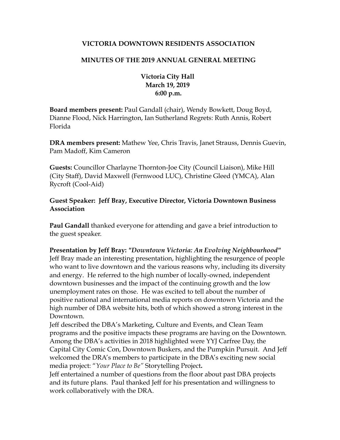## **VICTORIA DOWNTOWN RESIDENTS ASSOCIATION**

## **MINUTES OF THE 2019 ANNUAL GENERAL MEETING**

**Victoria City Hall March 19, 2019 6:00 p.m.**

**Board members present:** Paul Gandall (chair), Wendy Bowkett, Doug Boyd, Dianne Flood, Nick Harrington, Ian Sutherland Regrets: Ruth Annis, Robert Florida

**DRA members present:** Mathew Yee, Chris Travis, Janet Strauss, Dennis Guevin, Pam Madoff, Kim Cameron

**Guests:** Councillor Charlayne Thornton-Joe City (Council Liaison), Mike Hill (City Staff), David Maxwell (Fernwood LUC), Christine Gleed (YMCA), Alan Rycroft (Cool-Aid)

## **Guest Speaker: Jeff Bray, Executive Director, Victoria Downtown Business Association**

**Paul Gandall** thanked everyone for attending and gave a brief introduction to the guest speaker.

**Presentation by Jeff Bray:** *"Downtown Victoria: An Evolving Neighbourhood"* Jeff Bray made an interesting presentation, highlighting the resurgence of people who want to live downtown and the various reasons why, including its diversity and energy. He referred to the high number of locally-owned, independent downtown businesses and the impact of the continuing growth and the low unemployment rates on those. He was excited to tell about the number of positive national and international media reports on downtown Victoria and the high number of DBA website hits, both of which showed a strong interest in the Downtown.

Jeff described the DBA's Marketing, Culture and Events, and Clean Team programs and the positive impacts these programs are having on the Downtown. Among the DBA's activities in 2018 highlighted were YYJ Carfree Day, the Capital City Comic Con, Downtown Buskers, and the Pumpkin Pursuit. And Jeff welcomed the DRA's members to participate in the DBA's exciting new social media project: "*Your Place to Be"* Storytelling Project**.**

Jeff entertained a number of questions from the floor about past DBA projects and its future plans. Paul thanked Jeff for his presentation and willingness to work collaboratively with the DRA.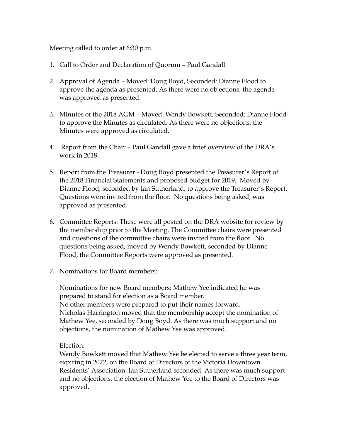Meeting called to order at 6:30 p.m.

- 1. Call to Order and Declaration of Quorum Paul Gandall
- Approval of Agenda Moved: Doug Boyd, Seconded: Dianne Flood to 2. approve the agenda as presented. As there were no objections, the agenda was approved as presented.
- Minutes of the 2018 AGM Moved: Wendy Bowkett, Seconded: Dianne Flood 3. to approve the Minutes as circulated. As there were no objections, the Minutes were approved as circulated.
- 4. Report from the Chair Paul Gandall gave a brief overview of the DRA's work in 2018.
- 5. Report from the Treasurer Doug Boyd presented the Treasurer's Report of the 2018 Financial Statements and proposed budget for 2019. Moved by Dianne Flood, seconded by Ian Sutherland, to approve the Treasurer's Report. Questions were invited from the floor. No questions being asked, was approved as presented.
- 6. Committee Reports: These were all posted on the DRA website for review by the membership prior to the Meeting. The Committee chairs were presented and questions of the committee chairs were invited from the floor. No questions being asked, moved by Wendy Bowkett, seconded by Dianne Flood, the Committee Reports were approved as presented.
- 7. Nominations for Board members:

Nominations for new Board members: Mathew Yee indicated he was prepared to stand for election as a Board member. No other members were prepared to put their names forward. Nicholas Harrington moved that the membership accept the nomination of Mathew Yee, seconded by Doug Boyd. As there was much support and no objections, the nomination of Mathew Yee was approved.

Election:

Wendy Bowkett moved that Mathew Yee be elected to serve a three year term, expiring in 2022, on the Board of Directors of the Victoria Downtown Residents' Association. Ian Sutherland seconded. As there was much support and no objections, the election of Mathew Yee to the Board of Directors was approved.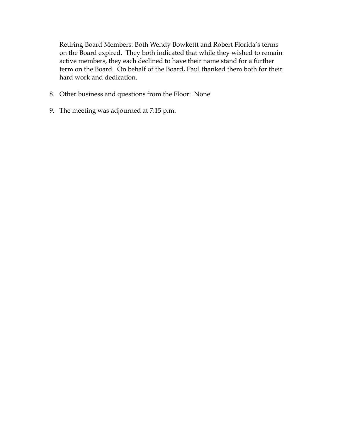Retiring Board Members: Both Wendy Bowkettt and Robert Florida's terms on the Board expired. They both indicated that while they wished to remain active members, they each declined to have their name stand for a further term on the Board. On behalf of the Board, Paul thanked them both for their hard work and dedication.

- 8. Other business and questions from the Floor: None
- 9. The meeting was adjourned at 7:15 p.m.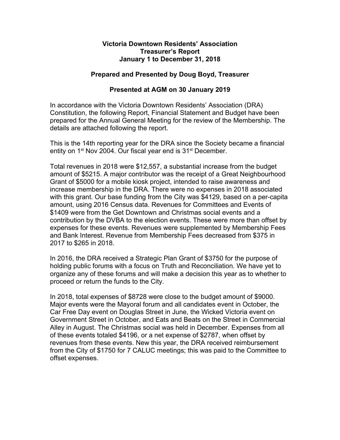### **Victoria Downtown Residents' Association Treasurer's Report January 1 to December 31, 2018**

## **Prepared and Presented by Doug Boyd, Treasurer**

## **Presented at AGM on 30 January 2019**

In accordance with the Victoria Downtown Residents' Association (DRA) Constitution, the following Report, Financial Statement and Budget have been prepared for the Annual General Meeting for the review of the Membership. The details are attached following the report.

This is the 14th reporting year for the DRA since the Society became a financial entity on  $1<sup>st</sup>$  Nov 2004. Our fiscal year end is  $31<sup>st</sup>$  December.

Total revenues in 2018 were \$12,557, a substantial increase from the budget amount of \$5215. A major contributor was the receipt of a Great Neighbourhood Grant of \$5000 for a mobile kiosk project, intended to raise awareness and increase membership in the DRA. There were no expenses in 2018 associated with this grant. Our base funding from the City was \$4129, based on a per-capita amount, using 2016 Census data. Revenues for Committees and Events of \$1409 were from the Get Downtown and Christmas social events and a contribution by the DVBA to the election events. These were more than offset by expenses for these events. Revenues were supplemented by Membership Fees and Bank Interest. Revenue from Membership Fees decreased from \$375 in 2017 to \$265 in 2018.

In 2016, the DRA received a Strategic Plan Grant of \$3750 for the purpose of holding public forums with a focus on Truth and Reconciliation. We have yet to organize any of these forums and will make a decision this year as to whether to proceed or return the funds to the City.

In 2018, total expenses of \$8728 were close to the budget amount of \$9000. Major events were the Mayoral forum and all candidates event in October, the Car Free Day event on Douglas Street in June, the Wicked Victoria event on Government Street in October, and Eats and Beats on the Street in Commercial Alley in August. The Christmas social was held in December. Expenses from all of these events totaled \$4196, or a net expense of \$2787, when offset by revenues from these events. New this year, the DRA received reimbursement from the City of \$1750 for 7 CALUC meetings; this was paid to the Committee to offset expenses.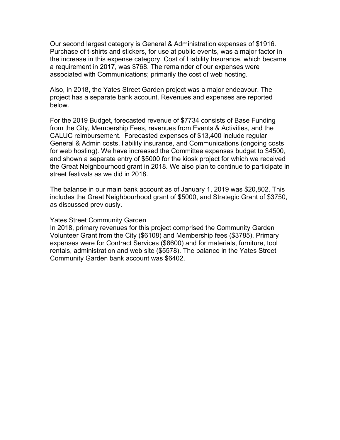Our second largest category is General & Administration expenses of \$1916. Purchase of t-shirts and stickers, for use at public events, was a major factor in the increase in this expense category. Cost of Liability Insurance, which became a requirement in 2017, was \$768. The remainder of our expenses were associated with Communications; primarily the cost of web hosting.

Also, in 2018, the Yates Street Garden project was a major endeavour. The project has a separate bank account. Revenues and expenses are reported below.

For the 2019 Budget, forecasted revenue of \$7734 consists of Base Funding from the City, Membership Fees, revenues from Events & Activities, and the CALUC reimbursement. Forecasted expenses of \$13,400 include regular General & Admin costs, liability insurance, and Communications (ongoing costs for web hosting). We have increased the Committee expenses budget to \$4500, and shown a separate entry of \$5000 for the kiosk project for which we received the Great Neighbourhood grant in 2018. We also plan to continue to participate in street festivals as we did in 2018.

The balance in our main bank account as of January 1, 2019 was \$20,802. This includes the Great Neighbourhood grant of \$5000, and Strategic Grant of \$3750, as discussed previously.

### Yates Street Community Garden

In 2018, primary revenues for this project comprised the Community Garden Volunteer Grant from the City (\$6108) and Membership fees (\$3785). Primary expenses were for Contract Services (\$8600) and for materials, furniture, tool rentals, administration and web site (\$5578). The balance in the Yates Street Community Garden bank account was \$6402.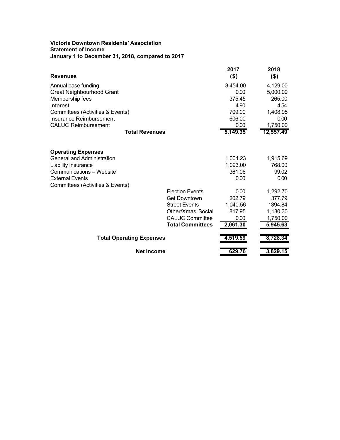### **Victoria Downtown Residents' Association Statement of Income January 1 to December 31, 2018, compared to 2017**

| Revenues                         |                         | 2017<br>$($ \$) | 2018<br>$($ \$) |
|----------------------------------|-------------------------|-----------------|-----------------|
| Annual base funding              |                         | 3,454.00        | 4,129.00        |
| Great Neighbourhood Grant        |                         | 0.00            | 5,000.00        |
| Membership fees                  |                         | 375.45          | 265.00          |
| Interest                         |                         | 4.90            | 4.54            |
| Committees (Activities & Events) |                         | 709.00          | 1,408.95        |
| Insurance Reimbursement          |                         | 606.00          | 0.00            |
| <b>CALUC Reimbursement</b>       |                         | 0.00            | 1,750.00        |
| <b>Total Revenues</b>            |                         | 5,149.35        | 12,557.49       |
| <b>Operating Expenses</b>        |                         |                 |                 |
| General and Administration       |                         | 1,004.23        | 1,915.69        |
| Liability Insurance              |                         | 1,093.00        | 768.00          |
| <b>Communications - Website</b>  |                         | 361.06          | 99.02           |
| <b>External Events</b>           |                         | 0.00            | 0.00            |
| Committees (Activities & Events) |                         |                 |                 |
|                                  | <b>Election Events</b>  | 0.00            | 1,292.70        |
|                                  | <b>Get Downtown</b>     | 202.79          | 377.79          |
|                                  | <b>Street Events</b>    | 1,040.56        | 1394.84         |
|                                  | Other/Xmas Social       | 817.95          | 1,130.30        |
|                                  | <b>CALUC Committee</b>  | 0.00            | 1,750.00        |
|                                  | <b>Total Committees</b> | 2,061.30        | 5,945.63        |
| <b>Total Operating Expenses</b>  |                         | 4,519.59        | 8,728.34        |
| <b>Net Income</b>                |                         | 629.76          | 3,829.15        |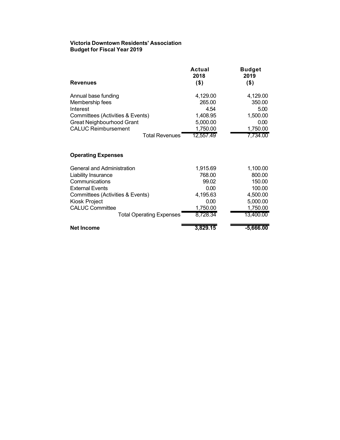### **Victoria Downtown Residents' Association Budget for Fiscal Year 2019**

| <b>Revenues</b>                  | Actual<br>2018<br>$($ \$) | <b>Budget</b><br>2019<br>$($ \$) |
|----------------------------------|---------------------------|----------------------------------|
| Annual base funding              | 4,129.00                  | 4,129.00                         |
| Membership fees                  | 265.00                    | 350.00                           |
| Interest                         | 4.54                      | 5.00                             |
| Committees (Activities & Events) | 1,408.95                  | 1,500.00                         |
| <b>Great Neighbourhood Grant</b> | 5,000.00                  | 0.00                             |
| <b>CALUC Reimbursement</b>       | 1,750.00                  | 1,750.00                         |
| <b>Total Revenues</b>            | 12,557.49                 | 7,734.00                         |

## **Operating Expenses**

| General and Administration       | 1,915.69 | 1,100.00    |
|----------------------------------|----------|-------------|
| Liability Insurance              | 768.00   | 800.00      |
| Communications                   | 99.02    | 150.00      |
| <b>External Events</b>           | 0.00     | 100.00      |
| Committees (Activities & Events) | 4,195.63 | 4,500.00    |
| Kiosk Project                    | 0.00     | 5,000.00    |
| <b>CALUC Committee</b>           | 1,750.00 | 1,750.00    |
| <b>Total Operating Expenses</b>  | 8,728.34 | 13,400.00   |
| <b>Net Income</b>                | 3.829.15 | $-5,666.00$ |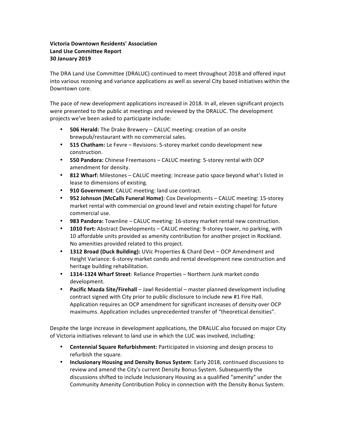### **Victoria Downtown Residents' Association Land Use Committee Report 30 January 2019**

The DRA Land Use Committee (DRALUC) continued to meet throughout 2018 and offered input into various rezoning and variance applications as well as several City based initiatives within the Downtown core.

The pace of new development applications increased in 2018. In all, eleven significant projects were presented to the public at meetings and reviewed by the DRALUC. The development projects we've been asked to participate include:

- **506 Herald:** The Drake Brewery CALUC meeting: creation of an onsite brewpub/restaurant with no commercial sales.
- **515 Chatham:** Le Fevre Revisions: 5-storey market condo development new construction.
- 550 Pandora: Chinese Freemasons CALUC meeting: 5-storey rental with OCP amendment for density.
- 812 Wharf: Milestones CALUC meeting: Increase patio space beyond what's listed in lease to dimensions of existing.
- 910 Government: CALUC meeting: land use contract.
- **952 Johnson (McCalls Funeral Home)**: Cox Developments CALUC meeting: 15-storey market rental with commercial on ground level and retain existing chapel for future commercial use.
- 983 Pandora: Townline CALUC meeting: 16-storey market rental new construction.
- **1010 Fort:** Abstract Developments CALUC meeting: 9-storey tower, no parking, with 10 affordable units provided as amenity contribution for another project in Rockland. No amenities provided related to this project.
- **1312 Broad (Duck Building):** UVic Properties & Chard Devt OCP Amendment and Height Variance: 6-storey market condo and rental development new construction and heritage building rehabilitation.
- **1314-1324 Wharf Street:** Reliance Properties Northern Junk market condo development.
- **Pacific Mazda Site/Firehall** Jawl Residential master planned development including contract signed with City prior to public disclosure to include new #1 Fire Hall. Application requires an OCP amendment for significant increases of density over OCP maximums. Application includes unprecedented transfer of "theoretical densities".

Despite the large increase in development applications, the DRALUC also focused on major City of Victoria initiatives relevant to land use in which the LUC was involved, including:

- **Centennial Square Refurbishment:** Participated in visioning and design process to refurbish the square.
- **Inclusionary Housing and Density Bonus System:** Early 2018, continued discussions to review and amend the City's current Density Bonus System. Subsequently the discussions shifted to include Inclusionary Housing as a qualified "amenity" under the Community Amenity Contribution Policy in connection with the Density Bonus System.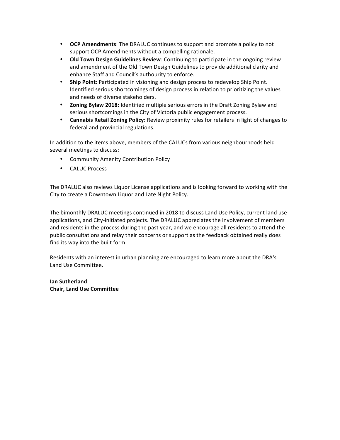- **OCP Amendments**: The DRALUC continues to support and promote a policy to not support OCP Amendments without a compelling rationale.
- **Old Town Design Guidelines Review**: Continuing to participate in the ongoing review and amendment of the Old Town Design Guidelines to provide additional clarity and enhance Staff and Council's authourity to enforce.
- Ship Point: Participated in visioning and design process to redevelop Ship Point. Identified serious shortcomings of design process in relation to prioritizing the values and needs of diverse stakeholders.
- **Zoning Bylaw 2018:** Identified multiple serious errors in the Draft Zoning Bylaw and serious shortcomings in the City of Victoria public engagement process.
- **Cannabis Retail Zoning Policy:** Review proximity rules for retailers in light of changes to federal and provincial regulations.

In addition to the items above, members of the CALUCs from various neighbourhoods held several meetings to discuss:

- Community Amenity Contribution Policy
- CALUC Process

The DRALUC also reviews Liquor License applications and is looking forward to working with the City to create a Downtown Liquor and Late Night Policy.

The bimonthly DRALUC meetings continued in 2018 to discuss Land Use Policy, current land use applications, and City-initiated projects. The DRALUC appreciates the involvement of members and residents in the process during the past year, and we encourage all residents to attend the public consultations and relay their concerns or support as the feedback obtained really does find its way into the built form.

Residents with an interest in urban planning are encouraged to learn more about the DRA's Land Use Committee.

**Ian Sutherland Chair, Land Use Committee**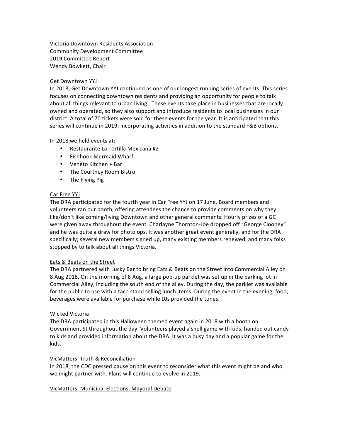Victoria Downtown Residents Association Community Development Committee 2019 Committee Report Wendy Bowkett, Chair

#### Get Downtown YYJ

In 2018, Get Downtown YYJ continued as one of our longest running series of events. This series focuses on connecting downtown residents and providing an opportunity for people to talk about all things relevant to urban living. These events take place in businesses that are locally owned and operated, so they also support and introduce residents to local businesses in our district. A total of 70 tickets were sold for these events for the year. It is anticipated that this series will continue in 2019; incorporating activities in addition to the standard F&B options.

In 2018 we held events at:

- Restaurante La Tortilla Mexicana #2
- Fishhook Mermaid Wharf
- Veneto Kitchen + Bar
- The Courtney Room Bistro
- The Flying Pig

#### Car Free YYJ

The DRA participated for the fourth year in Car Free YYJ on 17 June. Board members and volunteers ran our booth, offering attendees the chance to provide comments on why they like/don't like coming/living Downtown and other general comments. Hourly prizes of a GC were given away throughout the event. Charlayne Thornton-Joe dropped off "George Clooney" and he was quite a draw for photo ops. It was another great event generally, and for the DRA specifically; several new members signed up, many existing members renewed, and many folks stopped by to talk about all things Victoria.

#### Eats & Beats on the Street

The DRA partnered with Lucky Bar to bring Eats & Beats on the Street into Commercial Alley on 8 Aug 2018. On the morning of 8 Aug, a large pop-up parklet was set up in the parking lot in Commercial Alley, including the south end of the alley. During the day, the parklet was available for the public to use with a taco stand selling lunch items. During the event in the evening, food, beverages were available for purchase while DJs provided the tunes.

#### Wicked Victoria

The DRA participated in this Halloween themed event again in 2018 with a booth on Government St throughout the day. Volunteers played a shell game with kids, handed out candy to kids and provided information about the DRA. It was a busy day and a popular game for the kids.

### VicMatters: Truth & Reconciliation

In 2018, the CDC pressed pause on this event to reconsider what this event might be and who we might partner with. Plans will continue to evolve in 2019.

#### VicMatters: Municipal Elections: Mayoral Debate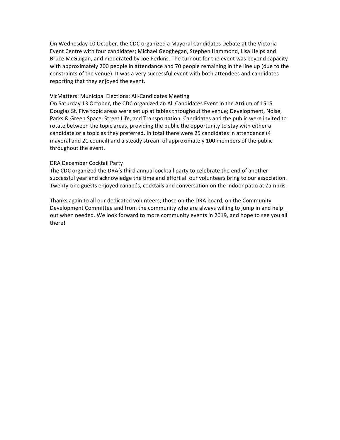On Wednesday 10 October, the CDC organized a Mayoral Candidates Debate at the Victoria Event Centre with four candidates; Michael Geoghegan, Stephen Hammond, Lisa Helps and Bruce McGuigan, and moderated by Joe Perkins. The turnout for the event was beyond capacity with approximately 200 people in attendance and 70 people remaining in the line up (due to the constraints of the venue). It was a very successful event with both attendees and candidates reporting that they enjoyed the event.

#### VicMatters: Municipal Elections: All-Candidates Meeting

On Saturday 13 October, the CDC organized an All Candidates Event in the Atrium of 1515 Douglas St. Five topic areas were set up at tables throughout the venue; Development, Noise, Parks & Green Space, Street Life, and Transportation. Candidates and the public were invited to rotate between the topic areas, providing the public the opportunity to stay with either a candidate or a topic as they preferred. In total there were 25 candidates in attendance (4 mayoral and 21 council) and a steady stream of approximately 100 members of the public throughout the event.

#### DRA December Cocktail Party

The CDC organized the DRA's third annual cocktail party to celebrate the end of another successful year and acknowledge the time and effort all our volunteers bring to our association. Twenty-one guests enjoyed canapés, cocktails and conversation on the indoor patio at Zambris.

Thanks again to all our dedicated volunteers; those on the DRA board, on the Community Development Committee and from the community who are always willing to jump in and help out when needed. We look forward to more community events in 2019, and hope to see you all there!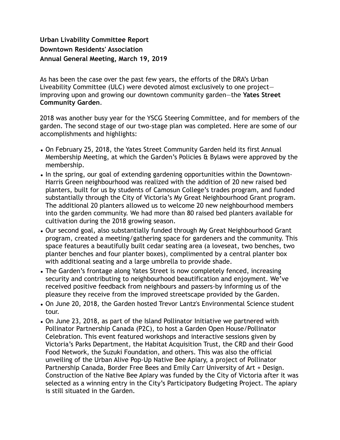# **Urban Livability Committee Report Downtown Residents' Association Annual General Meeting, March 19, 2019**

As has been the case over the past few years, the efforts of the DRA's Urban Liveability Committee (ULC) were devoted almost exclusively to one project improving upon and growing our downtown community garden—the **Yates Street Community Garden**.

2018 was another busy year for the YSCG Steering Committee, and for members of the garden. The second stage of our two-stage plan was completed. Here are some of our accomplishments and highlights:

- On February 25, 2018, the Yates Street Community Garden held its first Annual Membership Meeting, at which the Garden's Policies & Bylaws were approved by the membership.
- In the spring, our goal of extending gardening opportunities within the Downtown-Harris Green neighbourhood was realized with the addition of 20 new raised bed planters, built for us by students of Camosun College's trades program, and funded substantially through the City of Victoria's My Great Neighbourhood Grant program. The additional 20 planters allowed us to welcome 20 new neighbourhood members into the garden community. We had more than 80 raised bed planters available for cultivation during the 2018 growing season.
- Our second goal, also substantially funded through My Great Neighbourhood Grant program, created a meeting/gathering space for gardeners and the community. This space features a beautifully built cedar seating area (a loveseat, two benches, two planter benches and four planter boxes), complimented by a central planter box with additional seating and a large umbrella to provide shade.
- The Garden's frontage along Yates Street is now completely fenced, increasing security and contributing to neighbourhood beautification and enjoyment. We've received positive feedback from neighbours and passers-by informing us of the pleasure they receive from the improved streetscape provided by the Garden.
- On June 20, 2018, the Garden hosted Trevor Lantz's Environmental Science student tour.
- On June 23, 2018, as part of the Island Pollinator Initiative we partnered with Pollinator Partnership Canada (P2C), to host a Garden Open House/Pollinator Celebration. This event featured workshops and interactive sessions given by Victoria's Parks Department, the Habitat Acquisition Trust, the CRD and their Good Food Network, the Suzuki Foundation, and others. This was also the official unveiling of the Urban Alive Pop-Up Native Bee Apiary, a project of Pollinator Partnership Canada, Border Free Bees and Emily Carr University of Art + Design. Construction of the Native Bee Apiary was funded by the City of Victoria after it was selected as a winning entry in the City's Participatory Budgeting Project. The apiary is still situated in the Garden.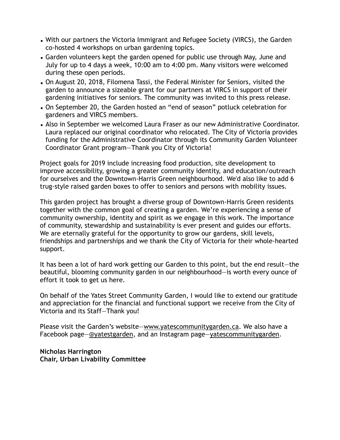- With our partners the Victoria Immigrant and Refugee Society (VIRCS), the Garden co-hosted 4 workshops on urban gardening topics.
- Garden volunteers kept the garden opened for public use through May, June and July for up to 4 days a week, 10:00 am to 4:00 pm. Many visitors were welcomed during these open periods.
- On August 20, 2018, Filomena Tassi, the Federal Minister for Seniors, visited the garden to announce a sizeable grant for our partners at VIRCS in support of their gardening initiatives for seniors. The community was invited to this press release.
- On September 20, the Garden hosted an "end of season" potluck celebration for gardeners and VIRCS members.
- Also in September we welcomed Laura Fraser as our new Administrative Coordinator. Laura replaced our original coordinator who relocated. The City of Victoria provides funding for the Administrative Coordinator through its Community Garden Volunteer Coordinator Grant program—Thank you City of Victoria!

Project goals for 2019 include increasing food production, site development to improve accessibility, growing a greater community identity, and education/outreach for ourselves and the Downtown-Harris Green neighbourhood. We'd also like to add 6 trug-style raised garden boxes to offer to seniors and persons with mobility issues.

This garden project has brought a diverse group of Downtown-Harris Green residents together with the common goal of creating a garden. We're experiencing a sense of community ownership, identity and spirit as we engage in this work. The importance of community, stewardship and sustainability is ever present and guides our efforts. We are eternally grateful for the opportunity to grow our gardens, skill levels, friendships and partnerships and we thank the City of Victoria for their whole-hearted support.

It has been a lot of hard work getting our Garden to this point, but the end result—the beautiful, blooming community garden in our neighbourhood—is worth every ounce of effort it took to get us here.

On behalf of the Yates Street Community Garden, I would like to extend our gratitude and appreciation for the financial and functional support we receive from the City of Victoria and its Staff—Thank you!

Please visit the Garden's website—www.yatescommunitygarden.ca. We also have a Facebook page—@yatestgarden, and an Instagram page—yatescommunitygarden.

**Nicholas Harrington Chair, Urban Livability Committee**